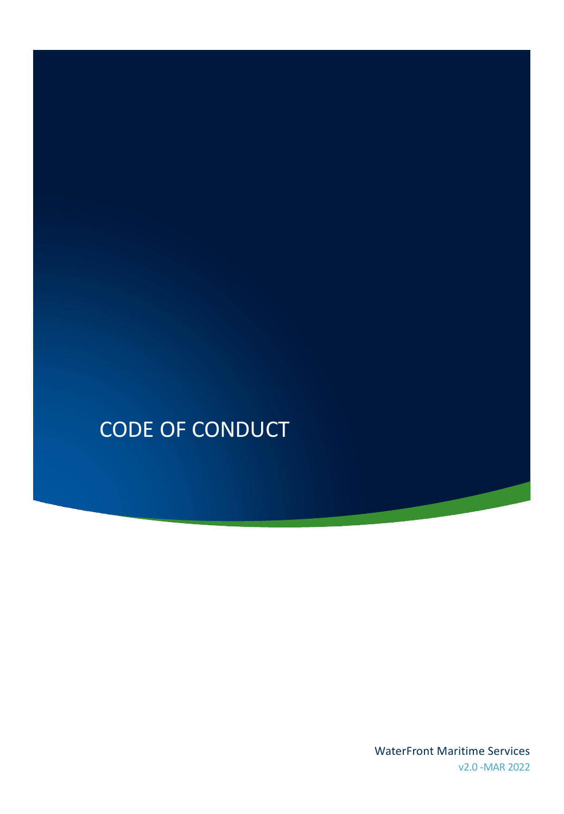# CODE OF CONDUCT

WaterFront Maritime Services v2.0 -MAR 2022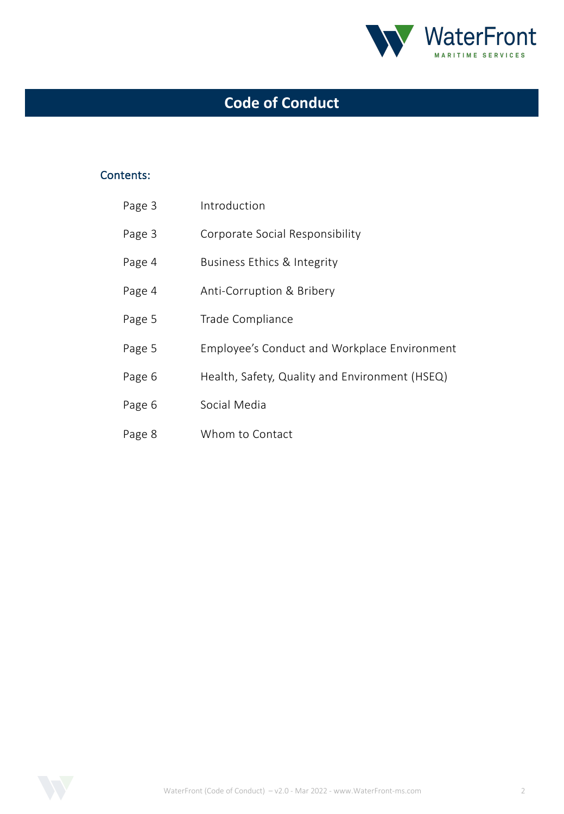

# **Code of Conduct**

#### Contents:

| Page 3 | Introduction                                   |
|--------|------------------------------------------------|
| Page 3 | Corporate Social Responsibility                |
| Page 4 | Business Ethics & Integrity                    |
| Page 4 | Anti-Corruption & Bribery                      |
| Page 5 | Trade Compliance                               |
| Page 5 | Employee's Conduct and Workplace Environment   |
| Page 6 | Health, Safety, Quality and Environment (HSEQ) |
| Page 6 | Social Media                                   |
| Page 8 | Whom to Contact                                |

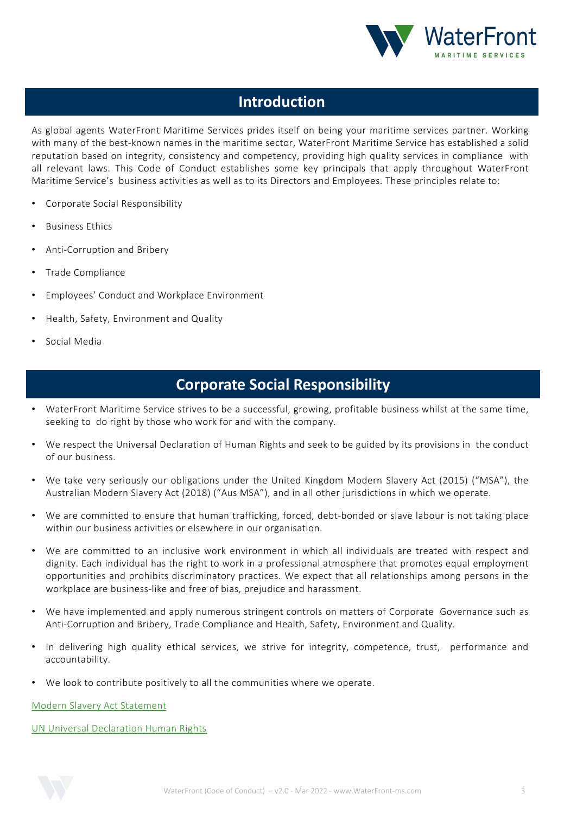

### **Introduction**

As global agents WaterFront Maritime Services prides itself on being your maritime services partner. Working with many of the best-known names in the maritime sector, WaterFront Maritime Service has established a solid reputation based on integrity, consistency and competency, providing high quality services in compliance with all relevant laws. This Code of Conduct establishes some key principals that apply throughout WaterFront Maritime Service's business activities as well as to its Directors and Employees. These principles relate to:

- Corporate Social Responsibility
- Business Ethics
- Anti-Corruption and Bribery
- Trade Compliance
- Employees' Conduct and Workplace Environment
- Health, Safety, Environment and Quality
- Social Media

### **Corporate Social Responsibility**

- WaterFront Maritime Service strives to be a successful, growing, profitable business whilst at the same time, seeking to do right by those who work for and with the company.
- We respect the Universal Declaration of Human Rights and seek to be guided by its provisions in the conduct of our business.
- We take very seriously our obligations under the United Kingdom Modern Slavery Act (2015) ("MSA"), the Australian Modern Slavery Act (2018) ("Aus MSA"), and in all other jurisdictions in which we operate.
- We are committed to ensure that human trafficking, forced, debt-bonded or slave labour is not taking place within our business activities or elsewhere in our organisation.
- We are committed to an inclusive work environment in which all individuals are treated with respect and dignity. Each individual has the right to work in a professional atmosphere that promotes equal employment opportunities and prohibits discriminatory practices. We expect that all relationships among persons in the workplace are business-like and free of bias, prejudice and harassment.
- We have implemented and apply numerous stringent controls on matters of Corporate Governance such as Anti-Corruption and Bribery, Trade Compliance and Health, Safety, Environment and Quality.
- In delivering high quality ethical services, we strive for integrity, competence, trust, performance and accountability.
- We look to contribute positively to all the communities where we operate.

Modern Slavery Act Statement

UN Universal Declaration Human Rights

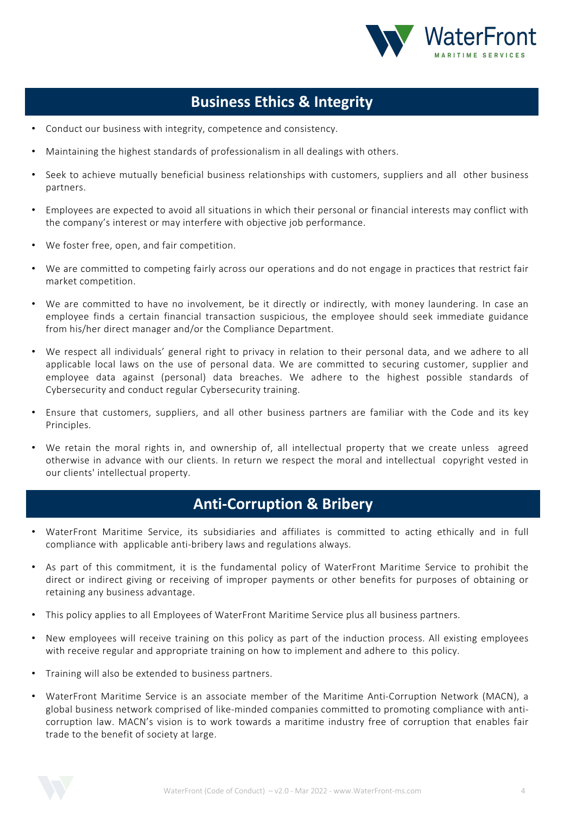

### **Business Ethics & Integrity**

- Conduct our business with integrity, competence and consistency.
- Maintaining the highest standards of professionalism in all dealings with others.
- Seek to achieve mutually beneficial business relationships with customers, suppliers and all other business partners.
- Employees are expected to avoid all situations in which their personal or financial interests may conflict with the company's interest or may interfere with objective job performance.
- We foster free, open, and fair competition.
- We are committed to competing fairly across our operations and do not engage in practices that restrict fair market competition.
- We are committed to have no involvement, be it directly or indirectly, with money laundering. In case an employee finds a certain financial transaction suspicious, the employee should seek immediate guidance from his/her direct manager and/or the Compliance Department.
- We respect all individuals' general right to privacy in relation to their personal data, and we adhere to all applicable local laws on the use of personal data. We are committed to securing customer, supplier and employee data against (personal) data breaches. We adhere to the highest possible standards of Cybersecurity and conduct regular Cybersecurity training.
- Ensure that customers, suppliers, and all other business partners are familiar with the Code and its key Principles.
- We retain the moral rights in, and ownership of, all intellectual property that we create unless agreed otherwise in advance with our clients. In return we respect the moral and intellectual copyright vested in our clients' intellectual property.

### **Anti-Corruption & Bribery**

- WaterFront Maritime Service, its subsidiaries and affiliates is committed to acting ethically and in full compliance with applicable anti-bribery laws and regulations always.
- As part of this commitment, it is the fundamental policy of WaterFront Maritime Service to prohibit the direct or indirect giving or receiving of improper payments or other benefits for purposes of obtaining or retaining any business advantage.
- This policy applies to all Employees of WaterFront Maritime Service plus all business partners.
- New employees will receive training on this policy as part of the induction process. All existing employees with receive regular and appropriate training on how to implement and adhere to this policy.
- Training will also be extended to business partners.
- WaterFront Maritime Service is an associate member of the Maritime Anti-Corruption Network (MACN), a global business network comprised of like-minded companies committed to promoting compliance with anticorruption law. MACN's vision is to work towards a maritime industry free of corruption that enables fair trade to the benefit of society at large.

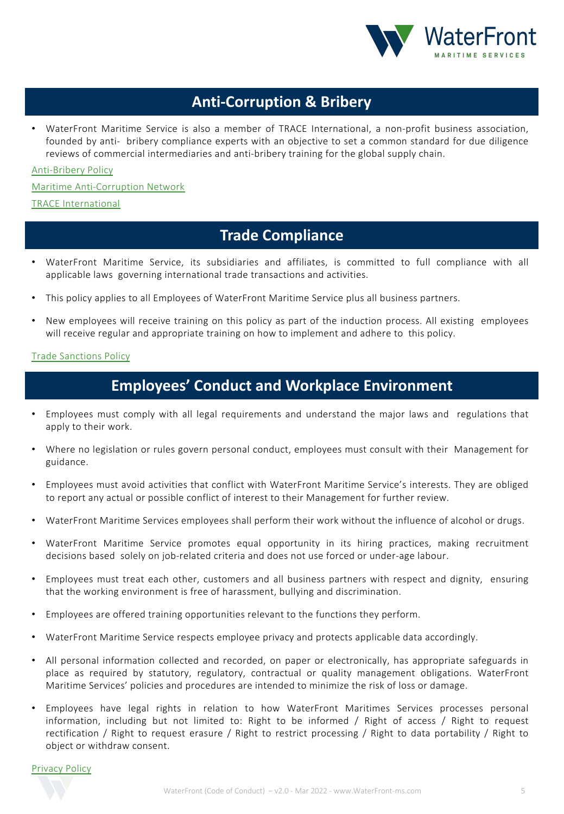

### **Anti-Corruption & Bribery**

• WaterFront Maritime Service is also a member of TRACE International, a non-profit business association, founded by anti- bribery compliance experts with an objective to set a common standard for due diligence [reviews](https://www.waterfront-ms.com/wp-content/uploads/2020/12/Anti-Bribery-1.pdf) of commercial intermediaries and anti-bribery training for the global supply chain.

[Anti-Bribery](https://macn.dk/) Policy

Maritime [Anti-Corru](https://www.traceinternational.org/)ption Network

TRACE International

#### **Trade Compliance**

- WaterFront Maritime Service, its subsidiaries and affiliates, is committed to full compliance with all applicable laws governing international trade transactions and activities.
- This policy applies to all Employees of WaterFront Maritime Service plus all business partners.
- New employees will receive training on this policy as part of the induction process. All existing employees will receive regular and appropriate training on how to implement and adhere to this policy.

#### Trade Sanctions Policy

### **Employees' Conduct and Workplace Environment**

- Employees must comply with all legal requirements and understand the major laws and regulations that apply to their work.
- Where no legislation or rules govern personal conduct, employees must consult with their Management for guidance.
- Employees must avoid activities that conflict with WaterFront Maritime Service's interests. They are obliged to report any actual or possible conflict of interest to their Management for further review.
- WaterFront Maritime Services employees shall perform their work without the influence of alcohol or drugs.
- WaterFront Maritime Service promotes equal opportunity in its hiring practices, making recruitment decisions based solely on job-related criteria and does not use forced or under-age labour.
- Employees must treat each other, customers and all business partners with respect and dignity, ensuring that the working environment is free of harassment, bullying and discrimination.
- Employees are offered training opportunities relevant to the functions they perform.
- WaterFront Maritime Service respects employee privacy and protects applicable data accordingly.
- All personal information collected and recorded, on paper or electronically, has appropriate safeguards in place as required by statutory, regulatory, contractual or quality management obligations. WaterFront Maritime Services' policies and procedures are intended to minimize the risk of loss or damage.
- Employees have legal rights in relation to how WaterFront Maritimes Services processes personal information, including but not limited to: Right to be informed / Right of access / Right to request rectification / Right to request erasure / Right to restrict processing / Right to data portability / Right to object or withdraw consent.

Privacy Policy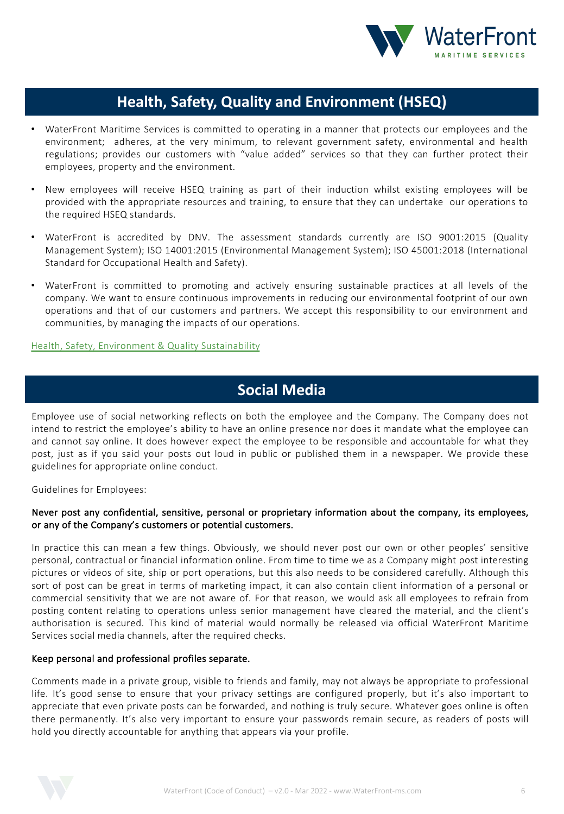

### **Health, Safety, Quality and Environment (HSEQ)**

- WaterFront Maritime Services is committed to operating in a manner that protects our employees and the environment; adheres, at the very minimum, to relevant government safety, environmental and health regulations; provides our customers with "value added" services so that they can further protect their employees, property and the environment.
- New employees will receive HSEQ training as part of their induction whilst existing employees will be provided with the appropriate resources and training, to ensure that they can undertake our operations to the required HSEQ standards.
- WaterFront is accredited by DNV. The assessment standards currently are ISO 9001:2015 (Quality Management System); ISO 14001:2015 (Environmental Management System); ISO 45001:2018 (International Standard for Occupational Health and Safety).
- WaterFront is committed to promoting and actively ensuring sustainable practices at all levels of the company. We want to ensure continuous improvements in reducing our environmental footprint of our own operations and that of our customers and partners. We accept this responsibility to our environment and communities, by managing the impacts of our operations.

Health, Safety, Environment & Quality Sustainability

### **Social Media**

Employee use of social networking reflects on both the employee and the Company. The Company does not intend to restrict the employee's ability to have an online presence nor does it mandate what the employee can and cannot say online. It does however expect the employee to be responsible and accountable for what they post, just as if you said your posts out loud in public or published them in a newspaper. We provide these guidelines for appropriate online conduct.

Guidelines for Employees:

#### Never post any confidential, sensitive, personal or proprietary information about the company, its employees, or any of the Company's customers or potential customers.

In practice this can mean a few things. Obviously, we should never post our own or other peoples' sensitive personal, contractual or financial information online. From time to time we as a Company might post interesting pictures or videos of site, ship or port operations, but this also needs to be considered carefully. Although this sort of post can be great in terms of marketing impact, it can also contain client information of a personal or commercial sensitivity that we are not aware of. For that reason, we would ask all employees to refrain from posting content relating to operations unless senior management have cleared the material, and the client's authorisation is secured. This kind of material would normally be released via official WaterFront Maritime Services social media channels, after the required checks.

#### Keep personal and professional profiles separate.

Comments made in a private group, visible to friends and family, may not always be appropriate to professional life. It's good sense to ensure that your privacy settings are configured properly, but it's also important to appreciate that even private posts can be forwarded, and nothing is truly secure. Whatever goes online is often there permanently. It's also very important to ensure your passwords remain secure, as readers of posts will hold you directly accountable for anything that appears via your profile.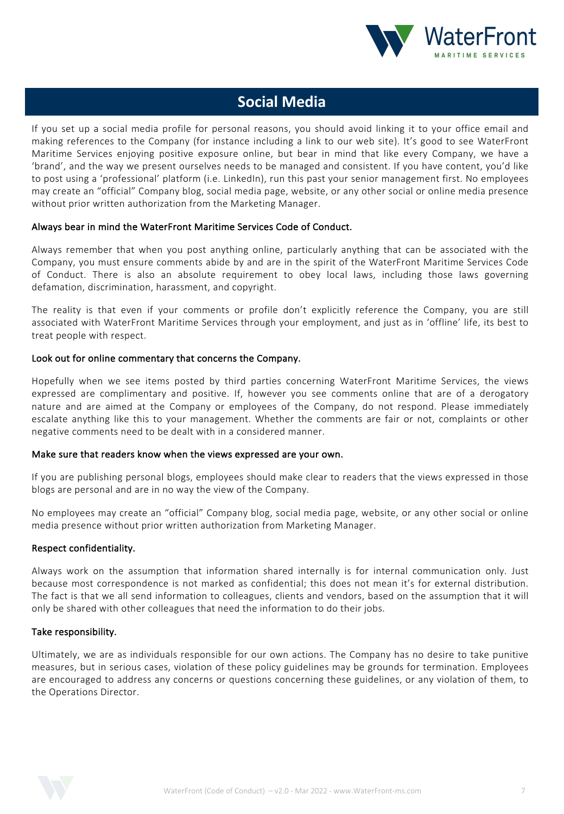

### **Social Media**

If you set up a social media profile for personal reasons, you should avoid linking it to your office email and making references to the Company (for instance including a link to our web site). It's good to see WaterFront Maritime Services enjoying positive exposure online, but bear in mind that like every Company, we have a 'brand', and the way we present ourselves needs to be managed and consistent. If you have content, you'd like to post using a 'professional' platform (i.e. LinkedIn), run this past your senior management first. No employees may create an "official" Company blog, social media page, website, or any other social or online media presence without prior written authorization from the Marketing Manager.

#### Always bear in mind the WaterFront Maritime Services Code of Conduct.

Always remember that when you post anything online, particularly anything that can be associated with the Company, you must ensure comments abide by and are in the spirit of the WaterFront Maritime Services Code of Conduct. There is also an absolute requirement to obey local laws, including those laws governing defamation, discrimination, harassment, and copyright.

The reality is that even if your comments or profile don't explicitly reference the Company, you are still associated with WaterFront Maritime Services through your employment, and just as in 'offline' life, its best to treat people with respect.

#### Look out for online commentary that concerns the Company.

Hopefully when we see items posted by third parties concerning WaterFront Maritime Services, the views expressed are complimentary and positive. If, however you see comments online that are of a derogatory nature and are aimed at the Company or employees of the Company, do not respond. Please immediately escalate anything like this to your management. Whether the comments are fair or not, complaints or other negative comments need to be dealt with in a considered manner.

#### Make sure that readers know when the views expressed are your own.

If you are publishing personal blogs, employees should make clear to readers that the views expressed in those blogs are personal and are in no way the view of the Company.

No employees may create an "official" Company blog, social media page, website, or any other social or online media presence without prior written authorization from Marketing Manager.

#### Respect confidentiality.

Always work on the assumption that information shared internally is for internal communication only. Just because most correspondence is not marked as confidential; this does not mean it's for external distribution. The fact is that we all send information to colleagues, clients and vendors, based on the assumption that it will only be shared with other colleagues that need the information to do their jobs.

#### Take responsibility.

Ultimately, we are as individuals responsible for our own actions. The Company has no desire to take punitive measures, but in serious cases, violation of these policy guidelines may be grounds for termination. Employees are encouraged to address any concerns or questions concerning these guidelines, or any violation of them, to the Operations Director.